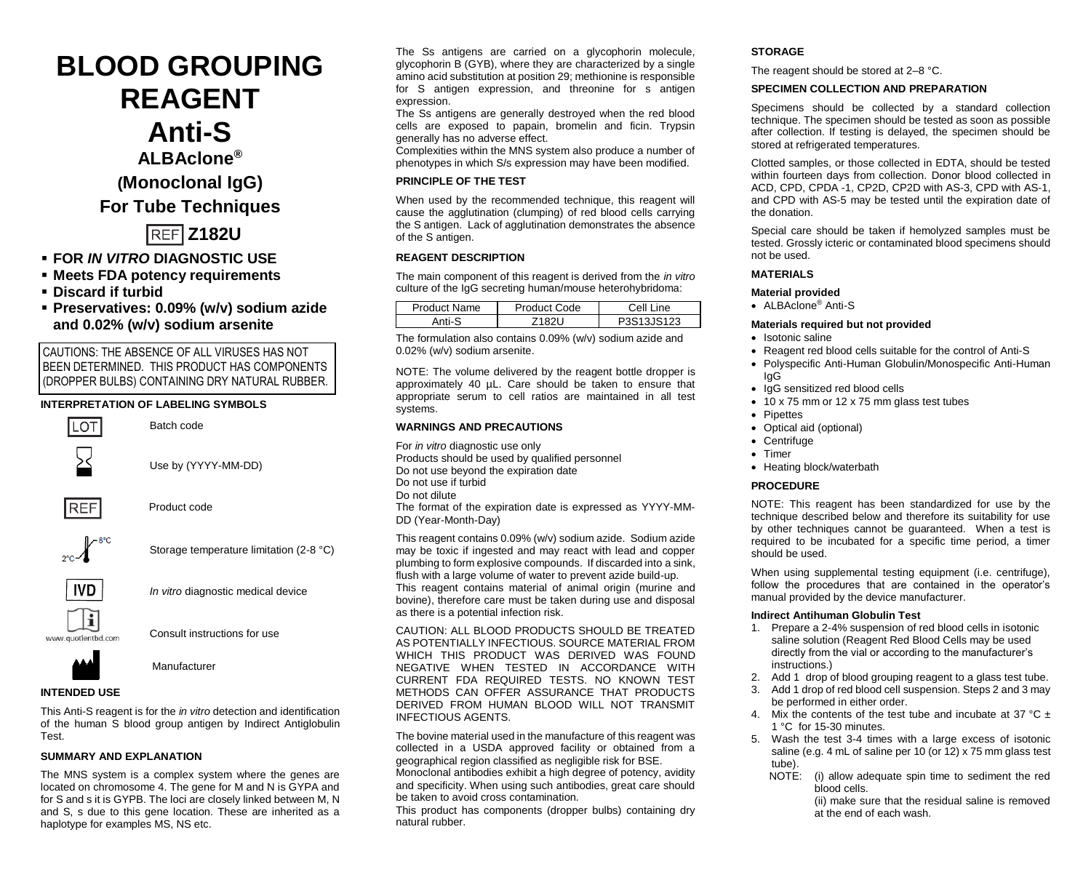# **BLOOD GROUPING REAGENT Anti-S ALBAclone®**

**(Monoclonal IgG)**

**For Tube Techniques**

**Z182U**

- **FOR** *IN VITRO* **DIAGNOSTIC USE**
- **Meets FDA potency requirements**
- **Discard if turbid**
- **Preservatives: 0.09% (w/v) sodium azide and 0.02% (w/v) sodium arsenite**

CAUTIONS: THE ABSENCE OF ALL VIRUSES HAS NOT BEEN DETERMINED. THIS PRODUCT HAS COMPONENTS (DROPPER BULBS) CONTAINING DRY NATURAL RUBBER.

# **INTERPRETATION OF LABELING SYMBOLS**



This Anti-S reagent is for the *in vitro* detection and identification of the human S blood group antigen by Indirect Antiglobulin Test.

# **SUMMARY AND EXPLANATION**

The MNS system is a complex system where the genes are located on chromosome 4. The gene for M and N is GYPA and for S and s it is GYPB. The loci are closely linked between M, N and S, s due to this gene location. These are inherited as a haplotype for examples MS, NS etc.

The Ss antigens are carried on a glycophorin molecule, glycophorin B (GYB), where they are characterized by a single amino acid substitution at position 29; methionine is responsible for S antigen expression, and threonine for s antigen expression.

The Ss antigens are generally destroyed when the red blood cells are exposed to papain, bromelin and ficin. Trypsin generally has no adverse effect.

Complexities within the MNS system also produce a number of phenotypes in which S/s expression may have been modified.

# **PRINCIPLE OF THE TEST**

When used by the recommended technique, this reagent will cause the agglutination (clumping) of red blood cells carrying the S antigen. Lack of agglutination demonstrates the absence of the S antigen.

# **REAGENT DESCRIPTION**

The main component of this reagent is derived from the *in vitro* culture of the IgG secreting human/mouse heterohybridoma:

| Product Name | Product Code | Cell I<br>. ine |
|--------------|--------------|-----------------|
| Anti-        |              | 13.IS123        |

The formulation also contains 0.09% (w/v) sodium azide and 0.02% (w/v) sodium arsenite.

NOTE: The volume delivered by the reagent bottle dropper is approximately 40 µL. Care should be taken to ensure that appropriate serum to cell ratios are maintained in all test systems.

## **WARNINGS AND PRECAUTIONS**

For *in vitro* diagnostic use only Products should be used by qualified personnel

- Do not use beyond the expiration date
- Do not use if turbid

Do not dilute

The format of the expiration date is expressed as YYYY-MM-DD (Year-Month-Day)

This reagent contains 0.09% (w/v) sodium azide. Sodium azide may be toxic if ingested and may react with lead and copper plumbing to form explosive compounds. If discarded into a sink, flush with a large volume of water to prevent azide build-up. This reagent contains material of animal origin (murine and bovine), therefore care must be taken during use and disposal as there is a potential infection risk.

CAUTION: ALL BLOOD PRODUCTS SHOULD BE TREATED AS POTENTIALLY INFECTIOUS. SOURCE MATERIAL FROM WHICH THIS PRODUCT WAS DERIVED WAS FOUND NEGATIVE WHEN TESTED IN ACCORDANCE WITH CURRENT FDA REQUIRED TESTS. NO KNOWN TEST METHODS CAN OFFER ASSURANCE THAT PRODUCTS DERIVED FROM HUMAN BLOOD WILL NOT TRANSMIT INFECTIOUS AGENTS.

The bovine material used in the manufacture of this reagent was collected in a USDA approved facility or obtained from a geographical region classified as negligible risk for BSE. Monoclonal antibodies exhibit a high degree of potency, avidity

and specificity. When using such antibodies, great care should be taken to avoid cross contamination*.*

This product has components (dropper bulbs) containing dry natural rubber.

# **STORAGE**

The reagent should be stored at 2–8 °C.

## **SPECIMEN COLLECTION AND PREPARATION**

Specimens should be collected by a standard collection technique. The specimen should be tested as soon as possible after collection. If testing is delayed, the specimen should be stored at refrigerated temperatures.

Clotted samples, or those collected in EDTA, should be tested within fourteen days from collection. Donor blood collected in ACD, CPD, CPDA -1, CP2D, CP2D with AS-3, CPD with AS-1, and CPD with AS-5 may be tested until the expiration date of the donation.

Special care should be taken if hemolyzed samples must be tested. Grossly icteric or contaminated blood specimens should not be used.

## **MATERIALS**

## **Material provided**

• ALBAclone® Anti-S

## **Materials required but not provided**

- Isotonic saline
- Reagent red blood cells suitable for the control of Anti-S
- Polyspecific Anti-Human Globulin/Monospecific Anti-Human IgG
- IgG sensitized red blood cells
- 10 x 75 mm or 12 x 75 mm glass test tubes
- **Pipettes**
- Optical aid (optional)
- Centrifuge
- Timer
- Heating block/waterbath

# **PROCEDURE**

NOTE: This reagent has been standardized for use by the technique described below and therefore its suitability for use by other techniques cannot be guaranteed. When a test is required to be incubated for a specific time period, a timer should be used.

When using supplemental testing equipment (i.e. centrifuge), follow the procedures that are contained in the operator's manual provided by the device manufacturer.

#### **Indirect Antihuman Globulin Test**

- 1. Prepare a 2-4% suspension of red blood cells in isotonic saline solution (Reagent Red Blood Cells may be used directly from the vial or according to the manufacturer's instructions.)
- 2. Add 1 drop of blood grouping reagent to a glass test tube.
- Add 1 drop of red blood cell suspension. Steps 2 and 3 may be performed in either order.
- 4. Mix the contents of the test tube and incubate at 37  $^{\circ}$ C ± 1 °C for 15-30 minutes.
- 5. Wash the test 3-4 times with a large excess of isotonic saline (e.g. 4 mL of saline per 10 (or 12) x 75 mm glass test tube).<br>NOTE:
	- (i) allow adequate spin time to sediment the red blood cells.

(ii) make sure that the residual saline is removed at the end of each wash.